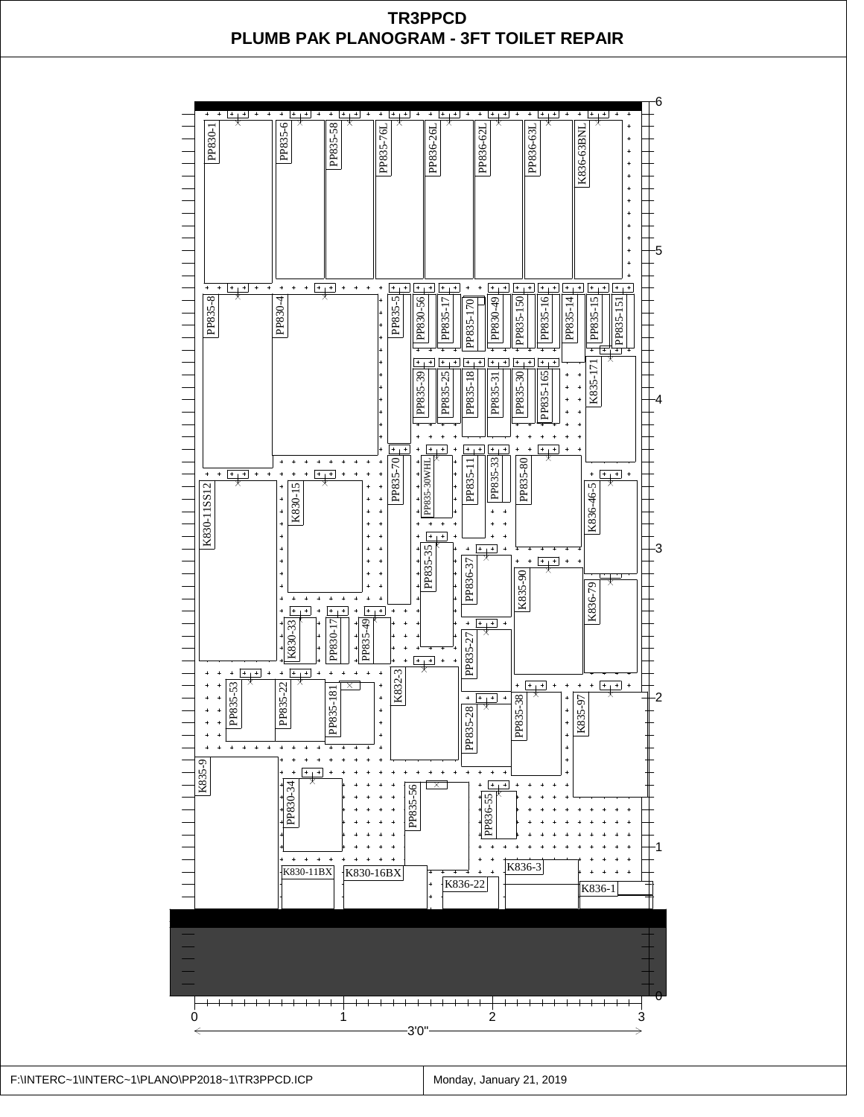